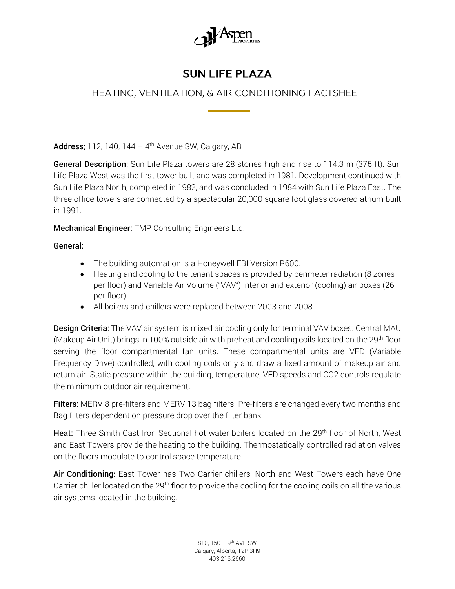

## **SUN LIFE PLAZA**

## HEATING, VENTILATION, & AIR CONDITIONING FACTSHEET

**Address:** 112, 140, 144 - 4<sup>th</sup> Avenue SW, Calgary, AB

General Description: Sun Life Plaza towers are 28 stories high and rise to 114.3 m (375 ft). Sun Life Plaza West was the first tower built and was completed in 1981. Development continued with Sun Life Plaza North, completed in 1982, and was concluded in 1984 with Sun Life Plaza East. The three office towers are connected by a spectacular 20,000 square foot glass covered atrium built in 1991.

Mechanical Engineer: TMP Consulting Engineers Ltd.

General:

- The building automation is a Honeywell EBI Version R600.
- Heating and cooling to the tenant spaces is provided by perimeter radiation (8 zones per floor) and Variable Air Volume ("VAV") interior and exterior (cooling) air boxes (26 per floor).
- All boilers and chillers were replaced between 2003 and 2008

**Design Criteria:** The VAV air system is mixed air cooling only for terminal VAV boxes. Central MAU (Makeup Air Unit) brings in 100% outside air with preheat and cooling coils located on the 29<sup>th</sup> floor serving the floor compartmental fan units. These compartmental units are VFD (Variable Frequency Drive) controlled, with cooling coils only and draw a fixed amount of makeup air and return air. Static pressure within the building, temperature, VFD speeds and CO2 controls regulate the minimum outdoor air requirement.

Filters: MERV 8 pre-filters and MERV 13 bag filters. Pre-filters are changed every two months and Bag filters dependent on pressure drop over the filter bank.

Heat: Three Smith Cast Iron Sectional hot water boilers located on the 29<sup>th</sup> floor of North, West and East Towers provide the heating to the building. Thermostatically controlled radiation valves on the floors modulate to control space temperature.

Air Conditioning: East Tower has Two Carrier chillers, North and West Towers each have One Carrier chiller located on the 29<sup>th</sup> floor to provide the cooling for the cooling coils on all the various air systems located in the building.